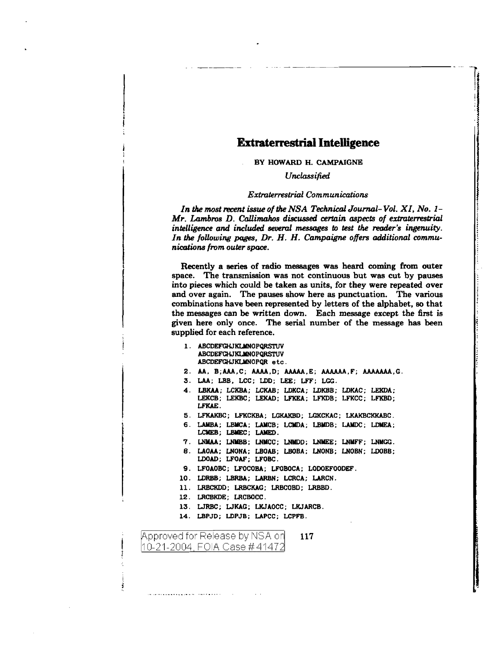## **Extraterrestrial Intelligence**

BY HOWARD H. CAMPAIGNE

*Unclassified* 

## *Extraterrestrial Communications*

!

*In the most recent issue of the NSA Technical Journal- Vol. XI, No. 1- Mr. Lambros D. Callimahos discussed certain aspects of extraterrestrial intelligence and included seueral messages to test the reader's ingenuity.*  In the following pages, Dr. H. H. Campaigne offers additional commu*nications from outer space.* 

Recently a series of radio messages was heard coming from outer space. The transmission was not continuous but was cut by pauses into pieces which could be taken as units, for they were repeated over and over again. The pauses show here as punctuation. The various combinations have been represented by letters of the alphabet, so that the messages can be written down. Each message except the first is given here only once. The serial number of the message has been supplied for each reference.

- 1 . ABCDEFGHJKLMNOPQRSTUV ABCDEFCHJKLMNOPQRSTUV ABCDEFGHJKLMNOPQR etc.
- 2. AA. B;AAA,C; AAAA,D; AAAAA.E; AAAAAA,F; AAAAAAA,G.
- 3. LAA; LBB, LCC; LDD; LEE; LFF; LGG.
- 4. LBKAA; LCKBA; LCKAB; LDKCA; IDKBB; LDKAC; LEKDA; LEKCB; LEKBC; LEKAD; LFKEA; LFKDB; LFKCC; LFKBD; LFKAE.
- 5. LFKAKBC; LFKCKBA; LGKAKBD; LGKCKAC; LKAKBCKKABC.
- 6. LAMBA; LBMCA; LAMCB; LCMDA; LBMDB; LAMDC; LDMEA; LCMEB; LBMEC; LAMED.
- 7. LNMAA; LNMBB; LNMCC; LNMDD; LNMEE; LNMFF; LNMGG.
- 8. LAOAA; LNONA; LBOAB; LBOBA; LNONB; LNOBN; LDOBB; LDOAD; LFOAF; LFOBC.
- 9. LFOAOBC; LFOCOBA; LFOBOCA; LODOEFOODEF.
- 10. LDRBB; LBRBA; LARBN; LCRCA; LARCN.
- 11. LRBCKDD; LRBCKAG; LRBCOBD; LRBBD.
- 12. LRCBKDE; LRCBOCC.
- 13. WRBC; WKAG; LKJAOCC; LKJARCB.
- 14. LBPJD; LDPJB; LAPCC; LCPFB.

Approved for Release by NSA on 117 |10-21-2004, FOIA Case # 41472